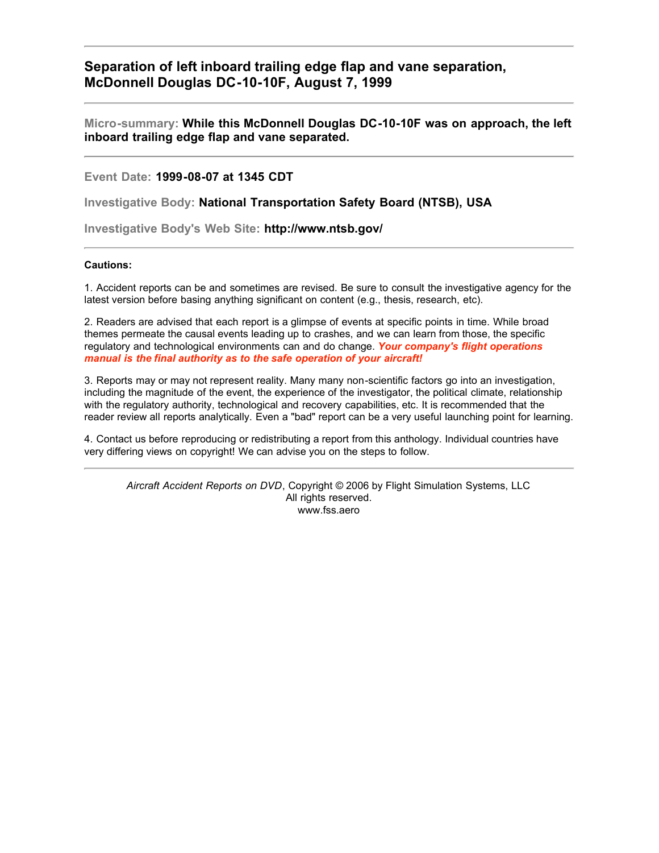**Separation of left inboard trailing edge flap and vane separation, McDonnell Douglas DC-10-10F, August 7, 1999**

**Micro-summary: While this McDonnell Douglas DC-10-10F was on approach, the left inboard trailing edge flap and vane separated.**

**Event Date: 1999-08-07 at 1345 CDT**

**Investigative Body: National Transportation Safety Board (NTSB), USA**

**Investigative Body's Web Site: http://www.ntsb.gov/**

## **Cautions:**

1. Accident reports can be and sometimes are revised. Be sure to consult the investigative agency for the latest version before basing anything significant on content (e.g., thesis, research, etc).

2. Readers are advised that each report is a glimpse of events at specific points in time. While broad themes permeate the causal events leading up to crashes, and we can learn from those, the specific regulatory and technological environments can and do change. *Your company's flight operations manual is the final authority as to the safe operation of your aircraft!*

3. Reports may or may not represent reality. Many many non-scientific factors go into an investigation, including the magnitude of the event, the experience of the investigator, the political climate, relationship with the regulatory authority, technological and recovery capabilities, etc. It is recommended that the reader review all reports analytically. Even a "bad" report can be a very useful launching point for learning.

4. Contact us before reproducing or redistributing a report from this anthology. Individual countries have very differing views on copyright! We can advise you on the steps to follow.

*Aircraft Accident Reports on DVD*, Copyright © 2006 by Flight Simulation Systems, LLC All rights reserved. www.fss.aero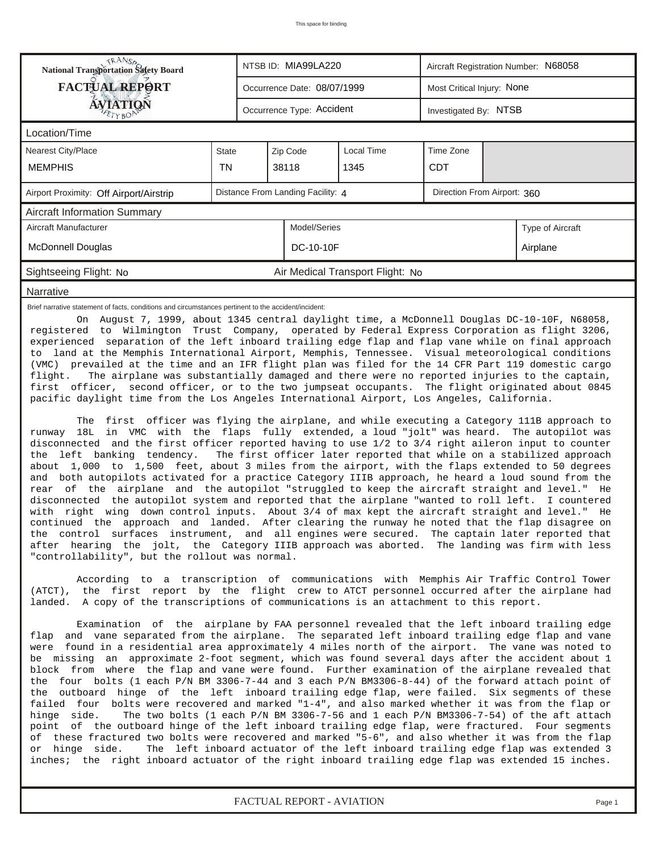| <b>National Transportation Safety Board</b>                                                                                                                                                                                                                                                                                                                                                                                                                                                                                                                                                                                                                                                                                                                                                                                                                                                                                                                                                                                                                                                                                                                                                                                                                                                                                                                                                                                                                                                                                                                                                                                                                                                                                                                  |              | NTSB ID: MIA99LA220                                              |                                  | Aircraft Registration Number: N68058 |                  |                                                                                                                                                                             |  |  |
|--------------------------------------------------------------------------------------------------------------------------------------------------------------------------------------------------------------------------------------------------------------------------------------------------------------------------------------------------------------------------------------------------------------------------------------------------------------------------------------------------------------------------------------------------------------------------------------------------------------------------------------------------------------------------------------------------------------------------------------------------------------------------------------------------------------------------------------------------------------------------------------------------------------------------------------------------------------------------------------------------------------------------------------------------------------------------------------------------------------------------------------------------------------------------------------------------------------------------------------------------------------------------------------------------------------------------------------------------------------------------------------------------------------------------------------------------------------------------------------------------------------------------------------------------------------------------------------------------------------------------------------------------------------------------------------------------------------------------------------------------------------|--------------|------------------------------------------------------------------|----------------------------------|--------------------------------------|------------------|-----------------------------------------------------------------------------------------------------------------------------------------------------------------------------|--|--|
| <b>FACTUAL REPORT</b>                                                                                                                                                                                                                                                                                                                                                                                                                                                                                                                                                                                                                                                                                                                                                                                                                                                                                                                                                                                                                                                                                                                                                                                                                                                                                                                                                                                                                                                                                                                                                                                                                                                                                                                                        |              | Occurrence Date: 08/07/1999                                      |                                  | Most Critical Injury: None           |                  |                                                                                                                                                                             |  |  |
| <b>ÁVJATIQN</b>                                                                                                                                                                                                                                                                                                                                                                                                                                                                                                                                                                                                                                                                                                                                                                                                                                                                                                                                                                                                                                                                                                                                                                                                                                                                                                                                                                                                                                                                                                                                                                                                                                                                                                                                              |              | Occurrence Type: Accident                                        |                                  | Investigated By: NTSB                |                  |                                                                                                                                                                             |  |  |
| Location/Time                                                                                                                                                                                                                                                                                                                                                                                                                                                                                                                                                                                                                                                                                                                                                                                                                                                                                                                                                                                                                                                                                                                                                                                                                                                                                                                                                                                                                                                                                                                                                                                                                                                                                                                                                |              |                                                                  |                                  |                                      |                  |                                                                                                                                                                             |  |  |
| Nearest City/Place                                                                                                                                                                                                                                                                                                                                                                                                                                                                                                                                                                                                                                                                                                                                                                                                                                                                                                                                                                                                                                                                                                                                                                                                                                                                                                                                                                                                                                                                                                                                                                                                                                                                                                                                           | <b>State</b> | Zip Code                                                         | Local Time                       | Time Zone                            |                  |                                                                                                                                                                             |  |  |
| <b>MEMPHIS</b>                                                                                                                                                                                                                                                                                                                                                                                                                                                                                                                                                                                                                                                                                                                                                                                                                                                                                                                                                                                                                                                                                                                                                                                                                                                                                                                                                                                                                                                                                                                                                                                                                                                                                                                                               | <b>TN</b>    | 38118                                                            | 1345                             | <b>CDT</b>                           |                  |                                                                                                                                                                             |  |  |
| Airport Proximity: Off Airport/Airstrip                                                                                                                                                                                                                                                                                                                                                                                                                                                                                                                                                                                                                                                                                                                                                                                                                                                                                                                                                                                                                                                                                                                                                                                                                                                                                                                                                                                                                                                                                                                                                                                                                                                                                                                      |              | Distance From Landing Facility: 4<br>Direction From Airport: 360 |                                  |                                      |                  |                                                                                                                                                                             |  |  |
| <b>Aircraft Information Summary</b>                                                                                                                                                                                                                                                                                                                                                                                                                                                                                                                                                                                                                                                                                                                                                                                                                                                                                                                                                                                                                                                                                                                                                                                                                                                                                                                                                                                                                                                                                                                                                                                                                                                                                                                          |              |                                                                  |                                  |                                      |                  |                                                                                                                                                                             |  |  |
| Aircraft Manufacturer                                                                                                                                                                                                                                                                                                                                                                                                                                                                                                                                                                                                                                                                                                                                                                                                                                                                                                                                                                                                                                                                                                                                                                                                                                                                                                                                                                                                                                                                                                                                                                                                                                                                                                                                        |              | Model/Series                                                     |                                  |                                      | Type of Aircraft |                                                                                                                                                                             |  |  |
| <b>McDonnell Douglas</b>                                                                                                                                                                                                                                                                                                                                                                                                                                                                                                                                                                                                                                                                                                                                                                                                                                                                                                                                                                                                                                                                                                                                                                                                                                                                                                                                                                                                                                                                                                                                                                                                                                                                                                                                     |              | DC-10-10F                                                        |                                  |                                      | Airplane         |                                                                                                                                                                             |  |  |
| Sightseeing Flight: No                                                                                                                                                                                                                                                                                                                                                                                                                                                                                                                                                                                                                                                                                                                                                                                                                                                                                                                                                                                                                                                                                                                                                                                                                                                                                                                                                                                                                                                                                                                                                                                                                                                                                                                                       |              |                                                                  | Air Medical Transport Flight: No |                                      |                  |                                                                                                                                                                             |  |  |
| Narrative                                                                                                                                                                                                                                                                                                                                                                                                                                                                                                                                                                                                                                                                                                                                                                                                                                                                                                                                                                                                                                                                                                                                                                                                                                                                                                                                                                                                                                                                                                                                                                                                                                                                                                                                                    |              |                                                                  |                                  |                                      |                  |                                                                                                                                                                             |  |  |
| to land at the Memphis International Airport, Memphis, Tennessee. Visual meteorological conditions<br>(VMC) prevailed at the time and an IFR flight plan was filed for the 14 CFR Part 119 domestic cargo<br>flight.<br>The airplane was substantially damaged and there were no reported injuries to the captain,<br>first officer, second officer, or to the two jumpseat occupants. The flight originated about 0845<br>pacific daylight time from the Los Angeles International Airport, Los Angeles, California.<br>The first officer was flying the airplane, and while executing a Category 111B approach to<br>runway 18L in VMC with the flaps fully extended, a loud "jolt" was heard. The autopilot was<br>disconnected and the first officer reported having to use 1/2 to 3/4 right aileron input to counter<br>the left banking tendency.<br>The first officer later reported that while on a stabilized approach<br>about 1,000 to 1,500 feet, about 3 miles from the airport, with the flaps extended to 50 degrees<br>and both autopilots activated for a practice Category IIIB approach, he heard a loud sound from the<br>rear of the airplane and the autopilot "struggled to keep the aircraft straight and level." He<br>disconnected the autopilot system and reported that the airplane "wanted to roll left. I countered<br>with right wing down control inputs. About 3/4 of max kept the aircraft straight and level." He<br>continued the approach and landed. After clearing the runway he noted that the flap disagree on<br>the control surfaces instrument, and all engines were secured. The captain later reported that<br>after hearing the jolt, the Category IIIB approach was aborted. The landing was firm with less |              |                                                                  |                                  |                                      |                  |                                                                                                                                                                             |  |  |
| "controllability", but the rollout was normal.<br>According to a transcription of communications with Memphis Air Traffic Control Tower<br>(ATCT), the first report by the flight crew to ATCT personnel occurred after the airplane had<br>landed. A copy of the transcriptions of communications is an attachment to this report.<br>Examination of the airplane by FAA personnel revealed that the left inboard trailing edge<br>flap and vane separated from the airplane. The separated left inboard trailing edge flap and vane<br>were found in a residential area approximately 4 miles north of the airport. The vane was noted to<br>be missing an approximate 2-foot segment, which was found several days after the accident about 1<br>block from where the flap and vane were found. Further examination of the airplane revealed that                                                                                                                                                                                                                                                                                                                                                                                                                                                                                                                                                                                                                                                                                                                                                                                                                                                                                                         |              |                                                                  |                                  |                                      |                  |                                                                                                                                                                             |  |  |
| the four bolts (1 each P/N BM 3306-7-44 and 3 each P/N BM3306-8-44) of the forward attach point of<br>the outboard hinge of the left inboard trailing edge flap, were failed. Six segments of these<br>failed four bolts were recovered and marked "1-4", and also marked whether it was from the flap or<br>hinge side.<br>point of the outboard hinge of the left inboard trailing edge flap, were fractured. Four segments<br>of these fractured two bolts were recovered and marked "5-6", and also whether it was from the flap<br>or hinge side.<br>inches; the right inboard actuator of the right inboard trailing edge flap was extended 15 inches.                                                                                                                                                                                                                                                                                                                                                                                                                                                                                                                                                                                                                                                                                                                                                                                                                                                                                                                                                                                                                                                                                                 |              |                                                                  |                                  |                                      |                  | The two bolts (1 each $P/N$ BM 3306-7-56 and 1 each $P/N$ BM3306-7-54) of the aft attach<br>The left inboard actuator of the left inboard trailing edge flap was extended 3 |  |  |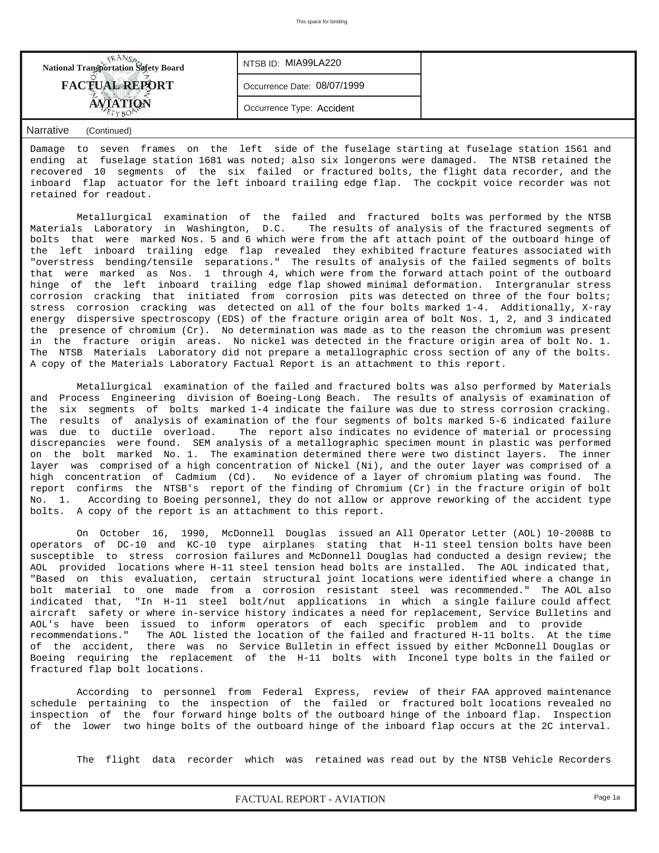| <b>National Transportation Safety Board</b> | NTSB ID: MIA99LA220         |  |
|---------------------------------------------|-----------------------------|--|
| <b>FACTUAL REPORT</b>                       | Occurrence Date: 08/07/1999 |  |
|                                             | Occurrence Type: Accident   |  |
|                                             |                             |  |

*Narrative (Continued)*

Damage to seven frames on the left side of the fuselage starting at fuselage station 1561 and ending at fuselage station 1681 was noted; also six longerons were damaged. The NTSB retained the recovered 10 segments of the six failed or fractured bolts, the flight data recorder, and the inboard flap actuator for the left inboard trailing edge flap. The cockpit voice recorder was not retained for readout.

 Metallurgical examination of the failed and fractured bolts was performed by the NTSB Materials Laboratory in Washington, D.C. The results of analysis of the fractured segments of bolts that were marked Nos. 5 and 6 which were from the aft attach point of the outboard hinge of the left inboard trailing edge flap revealed they exhibited fracture features associated with "overstress bending/tensile separations." The results of analysis of the failed segments of bolts that were marked as Nos. 1 through 4, which were from the forward attach point of the outboard hinge of the left inboard trailing edge flap showed minimal deformation. Intergranular stress corrosion cracking that initiated from corrosion pits was detected on three of the four bolts; stress corrosion cracking was detected on all of the four bolts marked 1-4. Additionally, X-ray energy dispersive spectroscopy (EDS) of the fracture origin area of bolt Nos. 1, 2, and 3 indicated the presence of chromium (Cr). No determination was made as to the reason the chromium was present in the fracture origin areas. No nickel was detected in the fracture origin area of bolt No. 1. The NTSB Materials Laboratory did not prepare a metallographic cross section of any of the bolts. A copy of the Materials Laboratory Factual Report is an attachment to this report.

 Metallurgical examination of the failed and fractured bolts was also performed by Materials and Process Engineering division of Boeing-Long Beach. The results of analysis of examination of the six segments of bolts marked 1-4 indicate the failure was due to stress corrosion cracking. The results of analysis of examination of the four segments of bolts marked 5-6 indicated failure was due to ductile overload. The report also indicates no evidence of material or processing discrepancies were found. SEM analysis of a metallographic specimen mount in plastic was performed on the bolt marked No. 1. The examination determined there were two distinct layers. The inner layer was comprised of a high concentration of Nickel (Ni), and the outer layer was comprised of a high concentration of Cadmium (Cd). No evidence of a layer of chromium plating was found. The report confirms the NTSB's report of the finding of Chromium (Cr) in the fracture origin of bolt No. 1. According to Boeing personnel, they do not allow or approve reworking of the accident type bolts. A copy of the report is an attachment to this report.

 On October 16, 1990, McDonnell Douglas issued an All Operator Letter (AOL) 10-2008B to operators of DC-10 and KC-10 type airplanes stating that H-11 steel tension bolts have been susceptible to stress corrosion failures and McDonnell Douglas had conducted a design review; the AOL provided locations where H-11 steel tension head bolts are installed. The AOL indicated that, "Based on this evaluation, certain structural joint locations were identified where a change in bolt material to one made from a corrosion resistant steel was recommended." The AOL also indicated that, "In H-11 steel bolt/nut applications in which a single failure could affect aircraft safety or where in-service history indicates a need for replacement, Service Bulletins and AOL's have been issued to inform operators of each specific problem and to provide recommendations." The AOL listed the location of the failed and fractured H-11 bolts. At the time of the accident, there was no Service Bulletin in effect issued by either McDonnell Douglas or Boeing requiring the replacement of the H-11 bolts with Inconel type bolts in the failed or fractured flap bolt locations.

 According to personnel from Federal Express, review of their FAA approved maintenance schedule pertaining to the inspection of the failed or fractured bolt locations revealed no inspection of the four forward hinge bolts of the outboard hinge of the inboard flap. Inspection of the lower two hinge bolts of the outboard hinge of the inboard flap occurs at the 2C interval.

The flight data recorder which was retained was read out by the NTSB Vehicle Recorders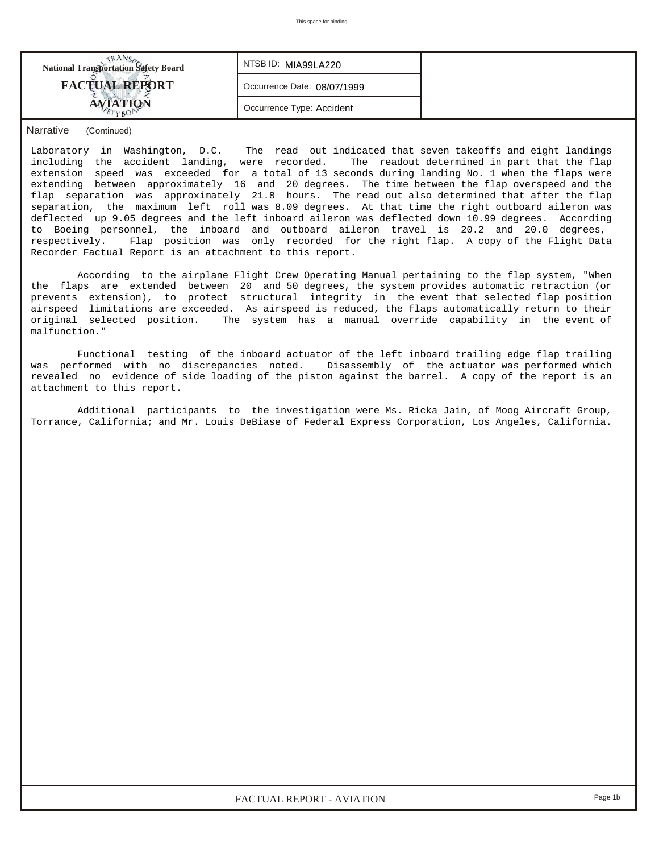| <b>National Transportation Safety Board</b> | NTSBID: MIA99LA220          |  |
|---------------------------------------------|-----------------------------|--|
| <b>FACTUAL REPORT</b>                       | Occurrence Date: 08/07/1999 |  |
|                                             | Occurrence Type: Accident   |  |

## *Narrative (Continued)*

Laboratory in Washington, D.C. The read out indicated that seven takeoffs and eight landings including the accident landing, were recorded. The readout determined in part that the flap extension speed was exceeded for a total of 13 seconds during landing No. 1 when the flaps were extending between approximately 16 and 20 degrees. The time between the flap overspeed and the flap separation was approximately 21.8 hours. The read out also determined that after the flap separation, the maximum left roll was 8.09 degrees. At that time the right outboard aileron was deflected up 9.05 degrees and the left inboard aileron was deflected down 10.99 degrees. According to Boeing personnel, the inboard and outboard aileron travel is 20.2 and 20.0 degrees, respectively. Flap position was only recorded for the right flap. A copy of the Flight Data Recorder Factual Report is an attachment to this report.

 According to the airplane Flight Crew Operating Manual pertaining to the flap system, "When the flaps are extended between 20 and 50 degrees, the system provides automatic retraction (or prevents extension), to protect structural integrity in the event that selected flap position airspeed limitations are exceeded. As airspeed is reduced, the flaps automatically return to their original selected position. The system has a manual override capability in the event of malfunction."

 Functional testing of the inboard actuator of the left inboard trailing edge flap trailing was performed with no discrepancies noted. Disassembly of the actuator was performed which revealed no evidence of side loading of the piston against the barrel. A copy of the report is an attachment to this report.

 Additional participants to the investigation were Ms. Ricka Jain, of Moog Aircraft Group, Torrance, California; and Mr. Louis DeBiase of Federal Express Corporation, Los Angeles, California.

*FACTUAL REPORT - AVIATION Page 1b*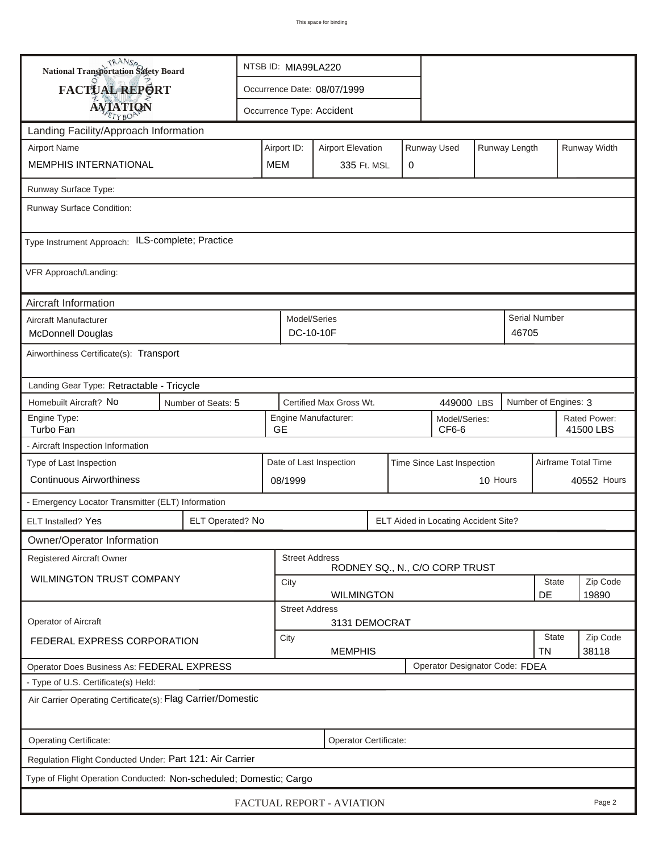| <b>National Transportation Safety Board</b>                        |                       | NTSB ID: MIA99LA220                                      |                                    |                                |   |                                      |          |                           |                      |                           |
|--------------------------------------------------------------------|-----------------------|----------------------------------------------------------|------------------------------------|--------------------------------|---|--------------------------------------|----------|---------------------------|----------------------|---------------------------|
| FACTUAL REPORT                                                     |                       | Occurrence Date: 08/07/1999                              |                                    |                                |   |                                      |          |                           |                      |                           |
| <b>AVIATION</b>                                                    |                       | Occurrence Type: Accident                                |                                    |                                |   |                                      |          |                           |                      |                           |
| Landing Facility/Approach Information                              |                       |                                                          |                                    |                                |   |                                      |          |                           |                      |                           |
| <b>Airport Name</b>                                                | Airport ID:           | Runway Used<br>Runway Length<br><b>Airport Elevation</b> |                                    |                                |   |                                      |          |                           | Runway Width         |                           |
| MEMPHIS INTERNATIONAL<br><b>MEM</b>                                |                       |                                                          | 335 Ft. MSL                        |                                | 0 |                                      |          |                           |                      |                           |
| Runway Surface Type:                                               |                       |                                                          |                                    |                                |   |                                      |          |                           |                      |                           |
| Runway Surface Condition:                                          |                       |                                                          |                                    |                                |   |                                      |          |                           |                      |                           |
| Type Instrument Approach: ILS-complete; Practice                   |                       |                                                          |                                    |                                |   |                                      |          |                           |                      |                           |
| VFR Approach/Landing:                                              |                       |                                                          |                                    |                                |   |                                      |          |                           |                      |                           |
| Aircraft Information                                               |                       |                                                          |                                    |                                |   |                                      |          |                           |                      |                           |
| Aircraft Manufacturer<br><b>McDonnell Douglas</b>                  |                       |                                                          | Model/Series<br>DC-10-10F<br>46705 |                                |   |                                      |          |                           | Serial Number        |                           |
| Airworthiness Certificate(s): Transport                            |                       |                                                          |                                    |                                |   |                                      |          |                           |                      |                           |
| Landing Gear Type: Retractable - Tricycle                          |                       |                                                          |                                    |                                |   |                                      |          |                           |                      |                           |
| Homebuilt Aircraft? No<br>Number of Seats: 5                       |                       |                                                          | Certified Max Gross Wt.            |                                |   | 449000 LBS                           |          |                           | Number of Engines: 3 |                           |
| Engine Type:<br>Turbo Fan<br><b>GE</b>                             |                       |                                                          | Engine Manufacturer:               |                                |   | Model/Series:<br>CF6-6               |          |                           |                      | Rated Power:<br>41500 LBS |
| - Aircraft Inspection Information                                  |                       |                                                          |                                    |                                |   |                                      |          |                           |                      |                           |
| Type of Last Inspection                                            |                       |                                                          | Date of Last Inspection            |                                |   | Time Since Last Inspection           |          |                           |                      | Airframe Total Time       |
| <b>Continuous Airworthiness</b>                                    |                       | 08/1999                                                  |                                    |                                |   |                                      | 10 Hours |                           |                      | 40552 Hours               |
| - Emergency Locator Transmitter (ELT) Information                  |                       |                                                          |                                    |                                |   |                                      |          |                           |                      |                           |
| ELT Installed? Yes                                                 | ELT Operated? No      |                                                          |                                    |                                |   | ELT Aided in Locating Accident Site? |          |                           |                      |                           |
| Owner/Operator Information                                         |                       |                                                          |                                    |                                |   |                                      |          |                           |                      |                           |
| Registered Aircraft Owner                                          |                       |                                                          | <b>Street Address</b>              | RODNEY SQ., N., C/O CORP TRUST |   |                                      |          |                           |                      |                           |
| <b>WILMINGTON TRUST COMPANY</b>                                    |                       | City                                                     | State<br>DE<br><b>WILMINGTON</b>   |                                |   |                                      |          |                           | Zip Code<br>19890    |                           |
|                                                                    |                       | <b>Street Address</b>                                    |                                    |                                |   |                                      |          |                           |                      |                           |
| <b>Operator of Aircraft</b>                                        |                       |                                                          | 3131 DEMOCRAT                      |                                |   |                                      |          |                           |                      |                           |
| FEDERAL EXPRESS CORPORATION                                        |                       | City                                                     | <b>MEMPHIS</b>                     |                                |   |                                      |          | <b>State</b><br><b>TN</b> | Zip Code<br>38118    |                           |
| Operator Does Business As: FEDERAL EXPRESS                         |                       |                                                          |                                    |                                |   | Operator Designator Code: FDEA       |          |                           |                      |                           |
| - Type of U.S. Certificate(s) Held:                                |                       |                                                          |                                    |                                |   |                                      |          |                           |                      |                           |
| Air Carrier Operating Certificate(s): Flag Carrier/Domestic        |                       |                                                          |                                    |                                |   |                                      |          |                           |                      |                           |
| Operating Certificate:                                             | Operator Certificate: |                                                          |                                    |                                |   |                                      |          |                           |                      |                           |
| Regulation Flight Conducted Under: Part 121: Air Carrier           |                       |                                                          |                                    |                                |   |                                      |          |                           |                      |                           |
| Type of Flight Operation Conducted: Non-scheduled; Domestic; Cargo |                       |                                                          |                                    |                                |   |                                      |          |                           |                      |                           |
| FACTUAL REPORT - AVIATION<br>Page 2                                |                       |                                                          |                                    |                                |   |                                      |          |                           |                      |                           |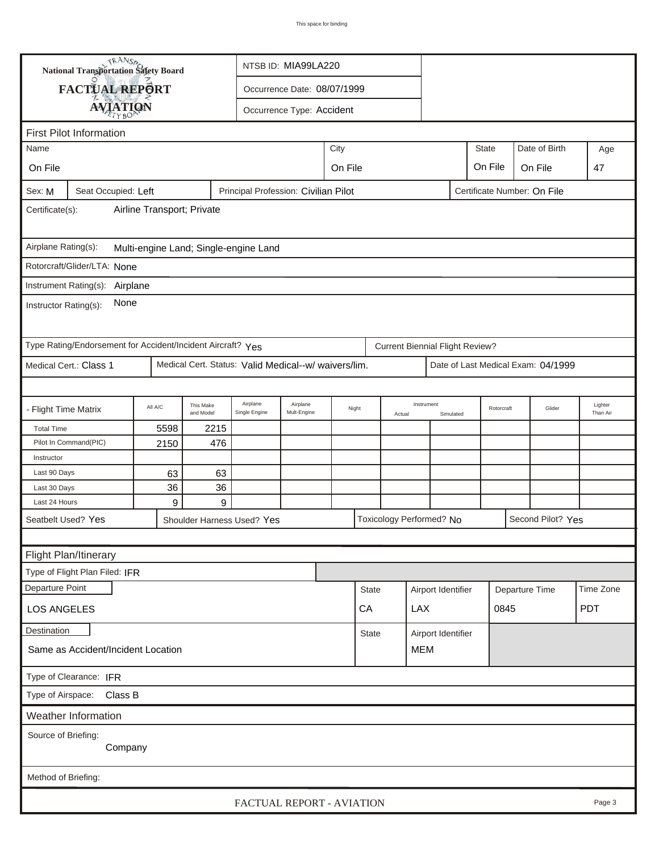|                                                                              | <b>National Transportation Safety Board</b>                 |                        |                        |                                                      | NTSB ID: MIA99LA220                        |         |                    |            |                                        |                                      |              |        |                                    |            |  |  |
|------------------------------------------------------------------------------|-------------------------------------------------------------|------------------------|------------------------|------------------------------------------------------|--------------------------------------------|---------|--------------------|------------|----------------------------------------|--------------------------------------|--------------|--------|------------------------------------|------------|--|--|
|                                                                              | FACTUAL REPORT                                              |                        |                        |                                                      | Occurrence Date: 08/07/1999                |         |                    |            |                                        |                                      |              |        |                                    |            |  |  |
|                                                                              |                                                             |                        |                        |                                                      |                                            |         |                    |            |                                        |                                      |              |        |                                    |            |  |  |
| <b>AVIATION</b><br>Occurrence Type: Accident                                 |                                                             |                        |                        |                                                      |                                            |         |                    |            |                                        |                                      |              |        |                                    |            |  |  |
|                                                                              | <b>First Pilot Information</b>                              |                        |                        |                                                      |                                            |         |                    |            |                                        |                                      |              |        |                                    |            |  |  |
| Name                                                                         |                                                             |                        |                        |                                                      |                                            | City    |                    |            |                                        |                                      | <b>State</b> |        | Date of Birth                      | Age        |  |  |
| On File                                                                      |                                                             |                        |                        |                                                      |                                            | On File |                    |            |                                        |                                      | On File      |        | On File                            | 47         |  |  |
| Sex: M                                                                       | Seat Occupied: Left                                         |                        |                        | Principal Profession: Civilian Pilot                 |                                            |         |                    |            |                                        | Certificate Number: On File          |              |        |                                    |            |  |  |
| Airline Transport; Private<br>Certificate(s):                                |                                                             |                        |                        |                                                      |                                            |         |                    |            |                                        |                                      |              |        |                                    |            |  |  |
| Airplane Rating(s):<br>Multi-engine Land; Single-engine Land                 |                                                             |                        |                        |                                                      |                                            |         |                    |            |                                        |                                      |              |        |                                    |            |  |  |
|                                                                              | Rotorcraft/Glider/LTA: None                                 |                        |                        |                                                      |                                            |         |                    |            |                                        |                                      |              |        |                                    |            |  |  |
|                                                                              | Instrument Rating(s):                                       |                        |                        |                                                      |                                            |         |                    |            |                                        |                                      |              |        |                                    |            |  |  |
| Airplane<br>None<br>Instructor Rating(s):                                    |                                                             |                        |                        |                                                      |                                            |         |                    |            |                                        |                                      |              |        |                                    |            |  |  |
|                                                                              | Type Rating/Endorsement for Accident/Incident Aircraft? Yes |                        |                        |                                                      |                                            |         |                    |            | <b>Current Biennial Flight Review?</b> |                                      |              |        |                                    |            |  |  |
|                                                                              | Medical Cert.: Class 1                                      |                        |                        | Medical Cert. Status: Valid Medical--w/ waivers/lim. |                                            |         |                    |            |                                        |                                      |              |        | Date of Last Medical Exam: 04/1999 |            |  |  |
|                                                                              |                                                             |                        |                        |                                                      |                                            |         |                    |            |                                        |                                      |              |        |                                    |            |  |  |
| - Flight Time Matrix                                                         |                                                             | All A/C                | This Make<br>and Model | Airplane<br>Single Engine                            | Airplane<br>Night<br>Mult-Engine<br>Actual |         |                    | Instrument | Simulated                              | Rotorcraft                           |              | Glider | Lighter<br>Than Air                |            |  |  |
| <b>Total Time</b>                                                            |                                                             | 5598                   | 2215                   |                                                      |                                            |         |                    |            |                                        |                                      |              |        |                                    |            |  |  |
|                                                                              | Pilot In Command(PIC)                                       | 2150                   | 476                    |                                                      |                                            |         |                    |            |                                        |                                      |              |        |                                    |            |  |  |
| Instructor                                                                   |                                                             |                        |                        |                                                      |                                            |         |                    |            |                                        |                                      |              |        |                                    |            |  |  |
| Last 90 Days                                                                 |                                                             | 63                     | 63                     |                                                      |                                            |         |                    |            |                                        |                                      |              |        |                                    |            |  |  |
| Last 30 Days<br>Last 24 Hours                                                |                                                             | 36<br>$\boldsymbol{9}$ | 36<br>9                |                                                      |                                            |         |                    |            |                                        |                                      |              |        |                                    |            |  |  |
|                                                                              |                                                             |                        |                        |                                                      |                                            |         |                    |            |                                        |                                      |              |        | Second Pilot? Yes                  |            |  |  |
| Seatbelt Used? Yes<br>Toxicology Performed? No<br>Shoulder Harness Used? Yes |                                                             |                        |                        |                                                      |                                            |         |                    |            |                                        |                                      |              |        |                                    |            |  |  |
|                                                                              |                                                             |                        |                        |                                                      |                                            |         |                    |            |                                        |                                      |              |        |                                    |            |  |  |
|                                                                              | Flight Plan/Itinerary                                       |                        |                        |                                                      |                                            |         |                    |            |                                        |                                      |              |        |                                    |            |  |  |
| Departure Point                                                              | Type of Flight Plan Filed: IFR                              |                        |                        |                                                      |                                            |         |                    |            |                                        |                                      |              |        |                                    |            |  |  |
|                                                                              |                                                             |                        |                        |                                                      |                                            |         | <b>State</b>       |            |                                        | Airport Identifier<br>Departure Time |              |        |                                    | Time Zone  |  |  |
| <b>LOS ANGELES</b>                                                           |                                                             |                        |                        |                                                      |                                            |         | CA                 |            | <b>LAX</b>                             |                                      | 0845         |        |                                    | <b>PDT</b> |  |  |
| <b>Destination</b><br><b>State</b>                                           |                                                             |                        |                        |                                                      |                                            |         | Airport Identifier |            |                                        |                                      |              |        |                                    |            |  |  |
| Same as Accident/Incident Location                                           |                                                             |                        |                        |                                                      |                                            |         | <b>MEM</b>         |            |                                        |                                      |              |        |                                    |            |  |  |
| Type of Clearance: IFR                                                       |                                                             |                        |                        |                                                      |                                            |         |                    |            |                                        |                                      |              |        |                                    |            |  |  |
|                                                                              | Type of Airspace: Class B                                   |                        |                        |                                                      |                                            |         |                    |            |                                        |                                      |              |        |                                    |            |  |  |
|                                                                              | Weather Information                                         |                        |                        |                                                      |                                            |         |                    |            |                                        |                                      |              |        |                                    |            |  |  |
| Source of Briefing:                                                          |                                                             |                        |                        |                                                      |                                            |         |                    |            |                                        |                                      |              |        |                                    |            |  |  |
|                                                                              | Company                                                     |                        |                        |                                                      |                                            |         |                    |            |                                        |                                      |              |        |                                    |            |  |  |
|                                                                              |                                                             |                        |                        |                                                      |                                            |         |                    |            |                                        |                                      |              |        |                                    |            |  |  |
| Method of Briefing:                                                          |                                                             |                        |                        |                                                      |                                            |         |                    |            |                                        |                                      |              |        |                                    |            |  |  |
|                                                                              |                                                             |                        |                        |                                                      | FACTUAL REPORT - AVIATION                  |         |                    |            |                                        |                                      |              |        |                                    | Page 3     |  |  |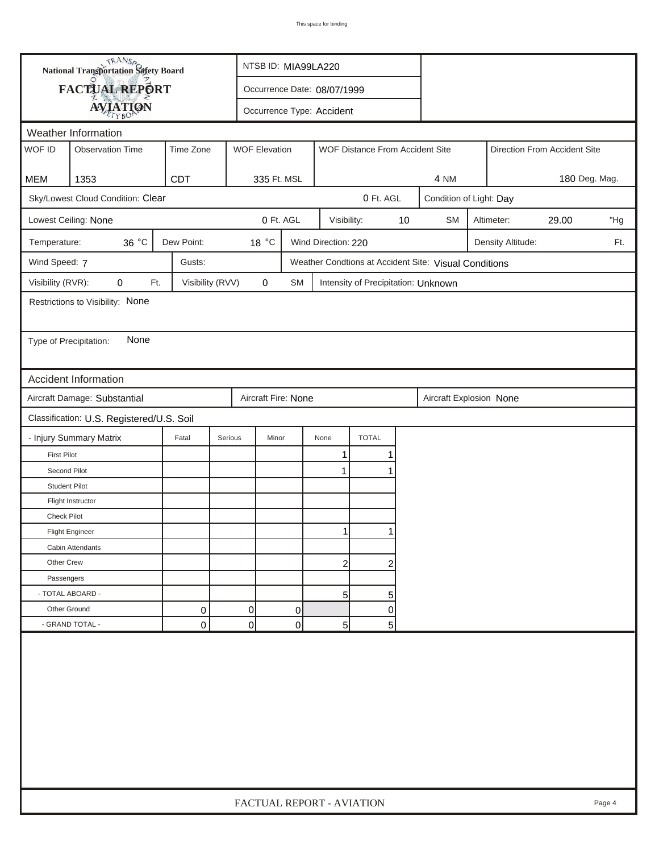| <b>National Transportation Safety Board</b><br>FACTUAL REPORT<br>Occurrence Date: 08/07/1999<br><b>AVIATION</b><br>Occurrence Type: Accident<br>Weather Information<br>WOF ID<br><b>WOF Elevation</b><br><b>Observation Time</b><br>Time Zone<br>WOF Distance From Accident Site<br>Direction From Accident Site<br><b>CDT</b><br><b>MEM</b><br>1353<br>335 Ft. MSL<br>4 NM<br>Sky/Lowest Cloud Condition: Clear<br>0 Ft. AGL<br>Condition of Light: Day<br>0 Ft. AGL<br>$10$<br>Lowest Ceiling: None<br>Visibility:<br><b>SM</b><br>Altimeter:<br>29.00<br>36 °C<br>Dew Point:<br>18 °C<br>Wind Direction: 220<br>Temperature:<br>Density Altitude:<br>Wind Speed: 7<br>Gusts:<br>Weather Condtions at Accident Site: Visual Conditions<br>Visibility (RVR):<br>Visibility (RVV)<br>$\pmb{0}$<br>0<br>Ft.<br>SM<br>Intensity of Precipitation: Unknown<br>Restrictions to Visibility: None<br>None<br>Type of Precipitation:<br><b>Accident Information</b><br>Aircraft Damage: Substantial<br>Aircraft Fire: None<br>Aircraft Explosion None<br>Classification: U.S. Registered/U.S. Soil | 180 Deg. Mag.<br>"Hg<br>Ft. |
|---------------------------------------------------------------------------------------------------------------------------------------------------------------------------------------------------------------------------------------------------------------------------------------------------------------------------------------------------------------------------------------------------------------------------------------------------------------------------------------------------------------------------------------------------------------------------------------------------------------------------------------------------------------------------------------------------------------------------------------------------------------------------------------------------------------------------------------------------------------------------------------------------------------------------------------------------------------------------------------------------------------------------------------------------------------------------------------------|-----------------------------|
|                                                                                                                                                                                                                                                                                                                                                                                                                                                                                                                                                                                                                                                                                                                                                                                                                                                                                                                                                                                                                                                                                             |                             |
|                                                                                                                                                                                                                                                                                                                                                                                                                                                                                                                                                                                                                                                                                                                                                                                                                                                                                                                                                                                                                                                                                             |                             |
|                                                                                                                                                                                                                                                                                                                                                                                                                                                                                                                                                                                                                                                                                                                                                                                                                                                                                                                                                                                                                                                                                             |                             |
|                                                                                                                                                                                                                                                                                                                                                                                                                                                                                                                                                                                                                                                                                                                                                                                                                                                                                                                                                                                                                                                                                             |                             |
|                                                                                                                                                                                                                                                                                                                                                                                                                                                                                                                                                                                                                                                                                                                                                                                                                                                                                                                                                                                                                                                                                             |                             |
|                                                                                                                                                                                                                                                                                                                                                                                                                                                                                                                                                                                                                                                                                                                                                                                                                                                                                                                                                                                                                                                                                             |                             |
|                                                                                                                                                                                                                                                                                                                                                                                                                                                                                                                                                                                                                                                                                                                                                                                                                                                                                                                                                                                                                                                                                             |                             |
|                                                                                                                                                                                                                                                                                                                                                                                                                                                                                                                                                                                                                                                                                                                                                                                                                                                                                                                                                                                                                                                                                             |                             |
|                                                                                                                                                                                                                                                                                                                                                                                                                                                                                                                                                                                                                                                                                                                                                                                                                                                                                                                                                                                                                                                                                             |                             |
|                                                                                                                                                                                                                                                                                                                                                                                                                                                                                                                                                                                                                                                                                                                                                                                                                                                                                                                                                                                                                                                                                             |                             |
|                                                                                                                                                                                                                                                                                                                                                                                                                                                                                                                                                                                                                                                                                                                                                                                                                                                                                                                                                                                                                                                                                             |                             |
|                                                                                                                                                                                                                                                                                                                                                                                                                                                                                                                                                                                                                                                                                                                                                                                                                                                                                                                                                                                                                                                                                             |                             |
|                                                                                                                                                                                                                                                                                                                                                                                                                                                                                                                                                                                                                                                                                                                                                                                                                                                                                                                                                                                                                                                                                             |                             |
|                                                                                                                                                                                                                                                                                                                                                                                                                                                                                                                                                                                                                                                                                                                                                                                                                                                                                                                                                                                                                                                                                             |                             |
|                                                                                                                                                                                                                                                                                                                                                                                                                                                                                                                                                                                                                                                                                                                                                                                                                                                                                                                                                                                                                                                                                             |                             |
|                                                                                                                                                                                                                                                                                                                                                                                                                                                                                                                                                                                                                                                                                                                                                                                                                                                                                                                                                                                                                                                                                             |                             |
|                                                                                                                                                                                                                                                                                                                                                                                                                                                                                                                                                                                                                                                                                                                                                                                                                                                                                                                                                                                                                                                                                             |                             |
|                                                                                                                                                                                                                                                                                                                                                                                                                                                                                                                                                                                                                                                                                                                                                                                                                                                                                                                                                                                                                                                                                             |                             |
| <b>TOTAL</b><br>- Injury Summary Matrix<br>Fatal<br>Serious<br>Minor<br>None                                                                                                                                                                                                                                                                                                                                                                                                                                                                                                                                                                                                                                                                                                                                                                                                                                                                                                                                                                                                                |                             |
| <b>First Pilot</b><br>1                                                                                                                                                                                                                                                                                                                                                                                                                                                                                                                                                                                                                                                                                                                                                                                                                                                                                                                                                                                                                                                                     |                             |
| Second Pilot<br>$\mathbf 1$                                                                                                                                                                                                                                                                                                                                                                                                                                                                                                                                                                                                                                                                                                                                                                                                                                                                                                                                                                                                                                                                 |                             |
| <b>Student Pilot</b>                                                                                                                                                                                                                                                                                                                                                                                                                                                                                                                                                                                                                                                                                                                                                                                                                                                                                                                                                                                                                                                                        |                             |
| Flight Instructor                                                                                                                                                                                                                                                                                                                                                                                                                                                                                                                                                                                                                                                                                                                                                                                                                                                                                                                                                                                                                                                                           |                             |
| <b>Check Pilot</b>                                                                                                                                                                                                                                                                                                                                                                                                                                                                                                                                                                                                                                                                                                                                                                                                                                                                                                                                                                                                                                                                          |                             |
| <b>Flight Engineer</b>                                                                                                                                                                                                                                                                                                                                                                                                                                                                                                                                                                                                                                                                                                                                                                                                                                                                                                                                                                                                                                                                      |                             |
| Cabin Attendants                                                                                                                                                                                                                                                                                                                                                                                                                                                                                                                                                                                                                                                                                                                                                                                                                                                                                                                                                                                                                                                                            |                             |
| Other Crew<br>$\overline{2}$<br>2                                                                                                                                                                                                                                                                                                                                                                                                                                                                                                                                                                                                                                                                                                                                                                                                                                                                                                                                                                                                                                                           |                             |
| Passengers                                                                                                                                                                                                                                                                                                                                                                                                                                                                                                                                                                                                                                                                                                                                                                                                                                                                                                                                                                                                                                                                                  |                             |
| - TOTAL ABOARD -<br>5 <sup>1</sup><br>5                                                                                                                                                                                                                                                                                                                                                                                                                                                                                                                                                                                                                                                                                                                                                                                                                                                                                                                                                                                                                                                     |                             |
| Other Ground<br>0<br>0<br>0<br>0                                                                                                                                                                                                                                                                                                                                                                                                                                                                                                                                                                                                                                                                                                                                                                                                                                                                                                                                                                                                                                                            |                             |
| - GRAND TOTAL -<br>0<br>$\overline{0}$<br>0<br>5 <sub>5</sub><br>5                                                                                                                                                                                                                                                                                                                                                                                                                                                                                                                                                                                                                                                                                                                                                                                                                                                                                                                                                                                                                          |                             |